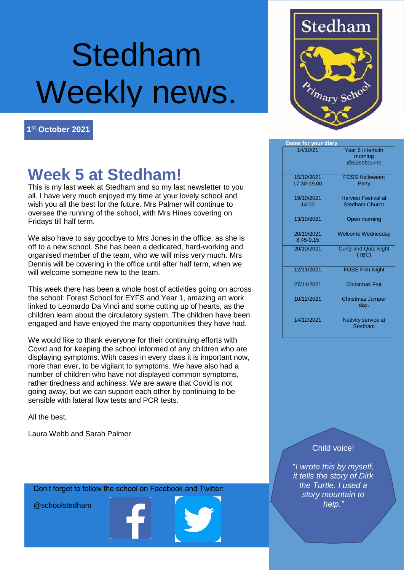# Stedham Weekly news.

**1 st October 2021**

### **Week 5 at Stedham!**

This is my last week at Stedham and so my last newsletter to you all. I have very much enjoyed my time at your lovely school and wish you all the best for the future. Mrs Palmer will continue to oversee the running of the school, with Mrs Hines covering on Fridays till half term.

We also have to say goodbye to Mrs Jones in the office, as she is off to a new school. She has been a dedicated, hard-working and organised member of the team, who we will miss very much. Mrs Dennis will be covering in the office until after half term, when we will welcome someone new to the team.

This week there has been a whole host of activities going on across the school: Forest School for EYFS and Year 1, amazing art work linked to Leonardo Da Vinci and some cutting up of hearts, as the children learn about the circulatory system. The children have been engaged and have enjoyed the many opportunities they have had.

We would like to thank everyone for their continuing efforts with Covid and for keeping the school informed of any children who are displaying symptoms. With cases in every class it is important now, more than ever, to be vigilant to symptoms. We have also had a number of children who have not displayed common symptoms, rather tiredness and achiness. We are aware that Covid is not going away, but we can support each other by continuing to be sensible with lateral flow tests and PCR tests.

All the best,

Laura Webb and Sarah Palmer



| Dates for your diary      |                                                     |
|---------------------------|-----------------------------------------------------|
| 14/10/21                  | Year 6 Interfaith<br>morning                        |
|                           | @Easebourne                                         |
| 15/10/2021<br>17:30-19.00 | <b>FOSS Halloween</b><br>Party                      |
| 19/10/2021<br>14:00       | <b>Harvest Festival at</b><br><b>Stedham Church</b> |
| 13/10/2021                | Open morning                                        |
| 20/10/2021<br>8:45-9.15   | <b>Welcome Wednesday</b>                            |
| 20/10/2021                | <b>Curry and Quiz Night</b><br>(TBC)                |
| 12/11/2021                | <b>FOSS Film Night</b>                              |
| 27/11/2021                | <b>Christmas Fair</b>                               |
| 10/12/2021                | <b>Christmas Jumper</b><br>day.                     |
| 14/12/2021                | Nativity service at<br>Stedham                      |

Child voice!

"*I wrote this by myself, it tells the story of Dirk the Turtle. I used a story mountain to help."*

Don't forget to follow the school on Facebook and Twitter:

@schoolstedham